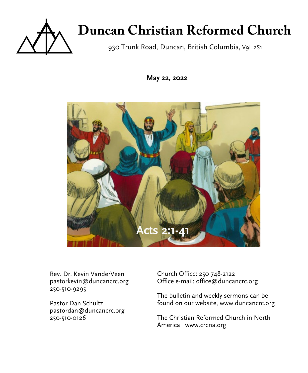

# **Duncan Christian Reformed Church**

930 Trunk Road, Duncan, British Columbia, V9L 2S1

**May 22, 2022**



Rev. Dr. Kevin VanderVeen pastorkevin@duncancrc.org 250-510-9295

Pastor Dan Schultz pastordan@duncancrc.org 250-510-0126

Church Office: 250 748-2122 Office e-mail: office@duncancrc.org

The bulletin and week[ly](www.duncancrc.org) sermons can be found on our website, www.duncancrc.org

The Christian Reformed Church in North America www.crcna.org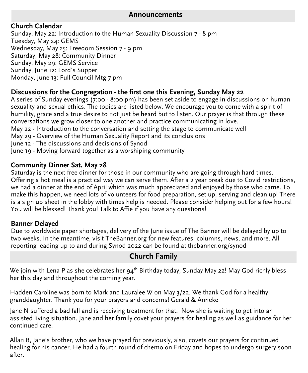#### **Announcements**

#### **Church Calendar**

Sunday, May 22: Introduction to the Human Sexuality Discussion 7 - 8 pm Tuesday, May 24: GEMS Wednesday, May 25: Freedom Session 7 - 9 pm Saturday, May 28: Community Dinner Sunday, May 29: GEMS Service Sunday, June 12: Lord's Supper Monday, June 13: Full Council Mtg 7 pm

#### **Discussions for the Congregation - the first one this Evening, Sunday May 22**

A series of Sunday evenings (7:00 - 8:00 pm) has been set aside to engage in discussions on human sexuality and sexual ethics. The topics are listed below. We encourage you to come with a spirit of humility, grace and a true desire to not just be heard but to listen. Our prayer is that through these conversations we grow closer to one another and practice communicating in love.

May 22 - Introduction to the conversation and setting the stage to communicate well

- May 29 Overview of the Human Sexuality Report and its conclusions
- June 12 The discussions and decisions of Synod
- June 19 Moving forward together as a worshiping community

#### **Community Dinner Sat. May 28**

Saturday is the next free dinner for those in our community who are going through hard times. Offering a hot meal is a practical way we can serve them. After a 2 year break due to Covid restrictions, we had a dinner at the end of April which was much appreciated and enjoyed by those who came. To make this happen, we need lots of volunteers for food preparation, set up, serving and clean up! There is a sign up sheet in the lobby with times help is needed. Please consider helping out for a few hours! You will be blessed! Thank you! Talk to Affie if you have any questions!

#### **Banner Delayed**

Due to worldwide paper shortages, delivery of the June issue of The Banner will be delayed by up to two weeks. In the meantime, visit TheBanner.org for new features, columns, news, and more. All reporting leading up to and during Synod 2022 can be found at thebanner.org/synod

## **Church Family**

We join with Lena P as she celebrates her  $94<sup>th</sup>$  Birthday today, Sunday May 22! May God richly bless her this day and throughout the coming year.

Hadden Caroline was born to Mark and Lauralee W on May 3/22. We thank God for a healthy granddaughter. Thank you for your prayers and concerns! Gerald & Anneke

Jane N suffered a bad fall and is receiving treatment for that. Now she is waiting to get into an assisted living situation. Jane and her family covet your prayers for healing as well as guidance for her continued care.

Allan B, Jane's brother, who we have prayed for previously, also, covets our prayers for continued healing for his cancer. He had a fourth round of chemo on Friday and hopes to undergo surgery soon after.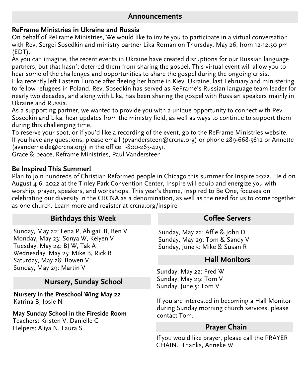#### **Announcements**

#### **ReFrame Ministries in Ukraine and Russia**

On behalf of ReFrame Ministries, We would like to invite you to participate in a virtual conversation with Rev. Sergei Sosedkin and ministry partner Lika Roman on Thursday, May 26, from 12-12:30 pm (EDT).

As you can imagine, the recent events in Ukraine have created disruptions for our Russian language partners, but that hasn't deterred them from sharing the gospel. This virtual event will allow you to hear some of the challenges and opportunities to share the gospel during the ongoing crisis.

Lika recently left Eastern Europe after fleeing her home in Kiev, Ukraine, last February and ministering to fellow refugees in Poland. Rev. Sosedkin has served as ReFrame's Russian language team leader for nearly two decades, and along with Lika, has been sharing the gospel with Russian speakers mainly in Ukraine and Russia.

As a supporting partner, we wanted to provide you with a unique opportunity to connect with Rev. Sosedkin and Lika, hear updates from the ministry field, as well as ways to continue to support them during this challenging time.

To reserve your spot, or if you'd like a recording of the event, go to the ReFrame Ministries website. If you have any questions, please email (pvandersteen@crcna.org) or phone 289-668-5612 or Annette (avanderheide@crcna.org) in the office 1-800-263-4251.

Grace & peace, Reframe Ministries, Paul Vandersteen

#### **Be Inspired This Summer!**

Plan to join hundreds of Christian Reformed people in Chicago this summer for Inspire 2022. Held on August 4-6, 2022 at the Tinley Park Convention Center, Inspire will equip and energize you with worship, prayer, speakers, and workshops. This year's theme, Inspired to Be One, focuses on celebrating our diversity in the CRCNA as a denomination, as well as the need for us to come together as one church. Learn more and register at crcna.org/inspire

#### **Birthdays this Week**

Sunday, May 22: Lena P, Abigail B, Ben V Monday, May 23: Sonya W, Keiyen V Tuesday, May 24: BJ W, Tak A Wednesday, May 25: Mike B, Rick B Saturday, May 28: Bowen V Sunday, May 29: Martin V

## **Nursery, Sunday School**

**Nursery in the Preschool Wing May 22** Katrina B, Josie N

#### **May Sunday School in the Fireside Room**

Teachers: Kristen V, Danielle G Helpers: Aliya N, Laura S

#### **Coffee Servers**

Sunday, May 22: Affie & John D Sunday, May 29: Tom & Sandy V Sunday, June 5: Mike & Susan R

#### **Hall Monitors**

Sunday, May 22: Fred W Sunday, May 29: Tom V Sunday, June 5: Tom V

If you are interested in becoming a Hall Monitor during Sunday morning church services, please contact Tom.

#### **Prayer Chain**

**I**f you would like prayer, please call the PRAYER CHAIN. Thanks, Anneke W